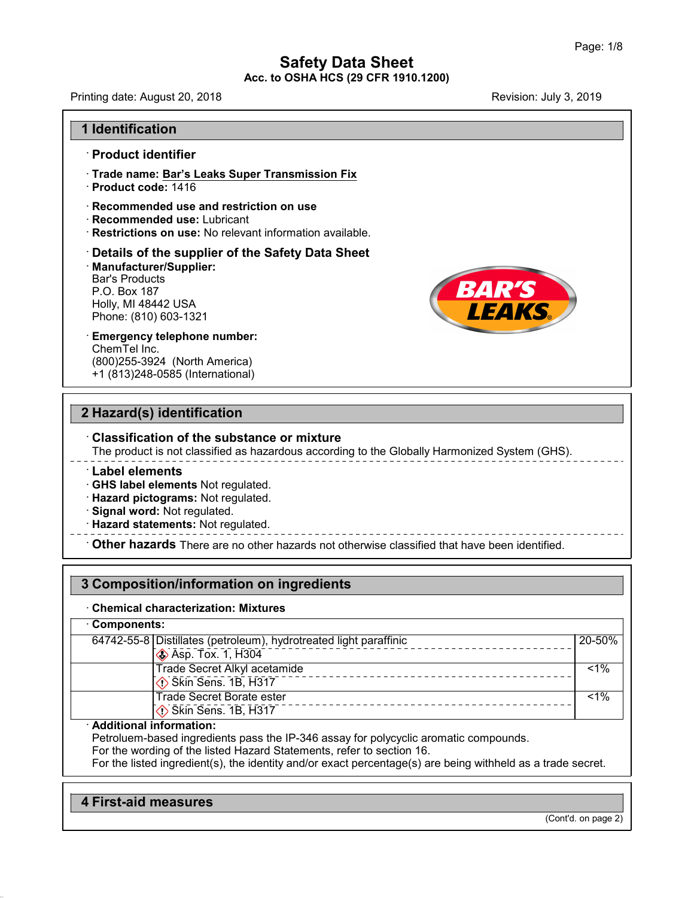# **Safety Data Sheet<br>Safety Data Sheet**<br>Re **Acc. to OSHA HCS (29 CFR 1910.1200)**<br>Acc. to OSHA HCS (29 CFR 1910.1200) Page<br> **Safety Data Sheet**<br>
Acc. to OSHA HCS (29 CFR 1910.1200)<br>
Revision: July 3, 2019

**1 Identification<br>1 Identification<br>Product identifier** 

France: August 20, 2018<br>
■ **Identification<br>
Product identifier<br>
Frade name: Bar's Leaks Sup<br>
Product and the 1446 Example 1 Identification<br>• Product identifier<br>• Trade name: <u>Bar's Leaks Super Transmission Fix</u><br>• Product code: 1416 I Identification<br>• Product identifier<br>• Trade name: <u>Bar's Leaks Su</u><br>• Product code: 1416<br>• Recommended use and rest Product identifier<br>• Trade name: <u>Bar's Leaks Super Transmission Fix</u><br>• Product code: 1416<br>• Recommended use and restriction on use<br>• Recommended use: Lubricant<br>• Restrictions on use: No relevant information available.** 

- 
- 
- 
- 

### • **Froduct identifier**<br>• **Rrade name: <u>Bar's Leaks Super Transmission Fix</u><br>• Recommended use and restriction on use<br>• Recommended use: Lubricant<br>• Restrictions on use: No relevant information available.<br>• <b>Details of the s** Bar's Products<br>
P.O. Box 187<br>
Holly, MI 48442 USA<br>
Phone: (810) 603-1321<br> **Emergency telephone number:**<br>
ChemTel Inc.<br>
(800)255-3924 (North America) · **Manufacturer/Supplier:** Recommended use: Lubricant<br>
Restrictions on use: No relevant information available.<br>
Details of the supplier of the Safety Data Sheet<br>
Manufacturer/Supplier:<br>
Bar's Products<br>
P.O. Box 187<br>
Holly, MI 48442 USA Restrictions on use: No rel<br>Details of the supplier o<br>Manufacturer/Supplier:<br>Bar's Products<br>P.O. Box 187<br>Holly, MI 48442 USA<br>Phone: (810) 603-1321 Details of the supplier of the \<br>Manufacturer/Supplier:<br>Bar's Products<br>P.O. Box 187<br>Holly, MI 48442 USA<br>Phone: (810) 603-1321 Details of the supplier of th<br>Manufacturer/Supplier:<br>Bar's Products<br>P.O. Box 187<br>Holly, MI 48442 USA<br>Phone: (810) 603-1321<br>Emergency telephone number

P.O. Box 187<br>Holly, MI 48442 USA<br>Phone: (810) 603-1321<br>**Emergency telephone num**<br>ChemTel Inc.<br>(800)255-3924 (North Amer<br>+1 (813)248-0585 (Internation Holly, MI 48442 USA<br>Phone: (810) 603-1321<br>Emergency telephone number:<br>ChemTel Inc.<br>(800)255-3924 (North America)<br>+1 (813)248-0585 (International) Hone: (810) 603-1321<br>Phone: (810) 603-1321<br>Emergency telephone number:<br>ChemTel Inc.<br>(800)255-3924 (North America)<br>+1 (813)248-0585 (International) Emergency telephone number:<br>
ChemTel Inc.<br>
(800)255-3924 (North America)<br>
+1 (813)248-0585 (International)<br> **2 Hazard(s) identification**<br>
Classification of the substance or m

(800)255-3924 (North America)<br>
+1 (813)248-0585 (International)<br> **2 Hazard(s) identification**<br>
Classification of the substance or mixture<br>
The product is not classified as hazardous according to the Globally Harmonized Sys The product is not classification<br>
The product is not classified as hazardous according to the Globally Harmonized System (GHS).<br>
The product is not classified as hazardous according to the Globally Harmonized System (GHS)

Classification of the substance or mixture<br>
The product is not classified as hazardous according to the Globally Harmonized System (GHS).<br>
Label elements<br>
CHS label elements Not regulated.<br>
Hazard pictograms: Not regulated 9 Signal word: Not regulated.<br>
→ Hazard statements: Not regulated.<br>
→ Other hazards There are no other hazards not otherwise classified that have been identified.<br>
3 Composition/information on ingredients<br>
→ Chemical char

### **3 Composition/information on ingredients**

| 3 Composition/information on ingredients                                                           |                                                                                                                                                                                                     |         |  |
|----------------------------------------------------------------------------------------------------|-----------------------------------------------------------------------------------------------------------------------------------------------------------------------------------------------------|---------|--|
| <b>Chemical characterization: Mixtures</b><br>Components:                                          |                                                                                                                                                                                                     |         |  |
|                                                                                                    |                                                                                                                                                                                                     |         |  |
| Trade Secret Alkyl acetamide<br>$\overline{\langle}$ Skin Sens. 1B, H317                           |                                                                                                                                                                                                     | $< 1\%$ |  |
| <b>Trade Secret Borate ester</b><br>Skin Sens. 1B, H317                                            |                                                                                                                                                                                                     | $< 1\%$ |  |
| · Additional information:<br>For the wording of the listed Hazard Statements, refer to section 16. | Petroluem-based ingredients pass the IP-346 assay for polycyclic aromatic compounds.<br>For the listed ingredient(s), the identity and/or exact percentage(s) are being withheld as a trade secret. |         |  |

**Additional Information:**<br>Petroluem-based ingredients pass t<br>For the wording of the listed Hazard<br>For the listed ingredient(s), the iden<br>**4 First-aid measures** 

47.0.13

(Cont'd. on page 2)

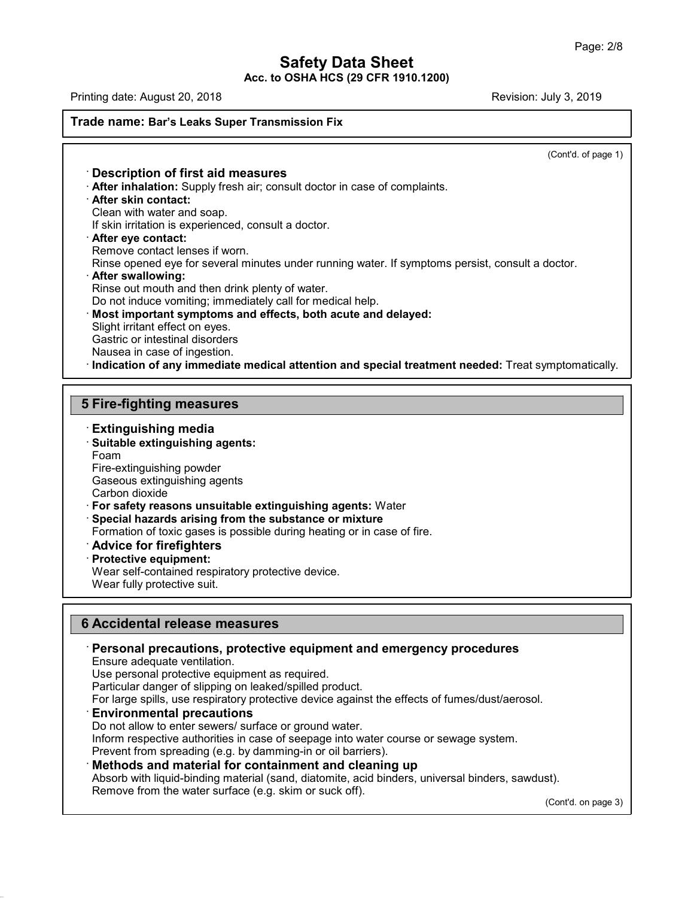# ade name: Bar's Leaks Super Transmission Fire<br> **CONSIGNAL CONSIGNATION**<br> **CONSIGNATION**<br> **CONSIGNATION**<br> **CONSIGNATION**<br> **CONSIGNATION**<br> **CONSIGNATION**<br> **CONSIGNATION**<br> **CONSIGNATION**<br> **CONSIGNATION**<br> **CONSIGNATION**<br> **CONS**

 $\overline{(\text{Cont } d. \text{ of page 1})}$ 

**Example: Bar's Leaks Super Transmission Fix**<br> **Consecription of first aid measures**<br> **After inhalation:** Supply fresh air; consult doctor in case of complaints.<br> **After skin contact:**<br>
Clean with water and soap.<br>
If skin **Description of first aid measures<br>After inhalation:** Supply fresh air; consu<br>**After skin contact:**<br>Clean with water and soap.<br>If skin irritation is experienced, consult a<br>**After eve contact: If Superion is a Description of first aid measures**<br> **After inhalation:** Supply fresh air; consult doctor in case of<br> **After skin contact:**<br>
Clean with water and soap.<br>
If skin irritation is experienced, consult a doctor. **After skin contact:**<br>Clean with water and soap.<br>If skin irritation is experienced, consult a doctor.<br>**After eye contact:**<br>Remove contact lenses if worn.<br>Rinse opened eye for several minutes under run<br>**After swallowing:** Refler skin contact:<br>
Clean with water and soap.<br>
If skin irritation is experienced, consult a doctor.<br> **After eye contact:**<br>
Remove contact lenses if worn.<br>
Rinse opened eye for several minutes under running water. If sym Rinse opened eye for several minutes under running water. If symptoms persist, consult a doctor.<br> **After swallowing:**<br>
Rinse out mouth and then drink plenty of water.<br>
Do not induce vomiting; immediately call for medical h **Example 2018 After eye contact:**<br>
Rinse opened eye for several minutes under running water. If symptoms persi-<br> **After swallowing:**<br> **Rinse out mouth and then drink plenty of water.**<br>
Do not induce vomiting; immediately c Rinse opened eye for several minutes une<br>**After swallowing:**<br>Rinse out mouth and then drink plenty of<br>Do not induce vomiting; immediately call **i**<br>**Most important symptoms and effects**,<br>Slight irritant effect on eyes.<br>Gast After swallowing:<br>Rinse out mouth and then drink plenty<br>Do not induce vomiting; immediately ca<br>Most important symptoms and effec<br>Slight irritant effect on eyes.<br>Gastric or intestinal disorders<br>Nausea in case of ingestion.<br> Rinse out mouth and then drink plenty of water.<br>
Do not induce vomiting; immediately call for medical help.<br> **Most important symptoms and effects, both acute and delayed:**<br>
Slight irritant effect on eyes.<br>
Gastric or intes Signt imiant effect on eyes.<br>
Gastric or intestinal disorders<br>
Nausea in case of ingestion.<br> **Indication of any immediate medical a**<br> **5 Fire-fighting measures**<br> **Extinguishing media Extinguishing measures<br>
Fire-fighting measures<br>
Extinguishing media<br>
Extinguishing media<br>
Extinguishing agents:<br>
Foam** 

- 
- 

**Fire-fighting measures<br>· Extinguishing media<br>· Suitable extinguishing agents:**<br>Foam<br>Fire-extinguishing powder Foam 5 Fire-fighting measures<br>Extinguishing media<br>Suitable extinguishing agents:<br>Foam<br>Fire-extinguishing powder<br>Gaseous extinguishing agents<br>Carbon dioxide **Extinguishing media<br>Suitable extinguishing agents:**<br>Foam<br>Fire-extinguishing powder<br>Gaseous extinguishing agents<br>Carbon dioxide<br>For safety reasons unsuitable extinguis

Fire-extinguishing powder<br>Gaseous extinguishing agents<br>Carbon dioxide<br>**For safety reasons unsuitable extinguishing agents:** W<br>**Special hazards arising from the substance or mixture** · **For safety reasons unsuitable extinguishing agents:** Water Foam<br>Fire-extinguishing powder<br>Gaseous extinguishing agents<br>Carbon dioxide<br>**For safety reasons unsuitable extinguishing agents:** Water<br>**Special hazards arising from the substance or mixture**<br>Formation of toxic gases is pos Fire-extinguishing powder<br>
Gaseous extinguishing agents<br>
Carbon dioxide<br>
• **For safety reasons unsuitable extinguishing agents:** Water<br>
• **Special hazards arising from the substance or mixture**<br>
Formation of toxic gases is **For safety reasons unsuitable Special hazards arising from Formation of toxic gases is posited and all protective equipment:**<br>**Protective equipment:**<br>Wear self-contained respirator Wear fully protective suit. For sarety reasons unsultable extinguishing agents: Wate<br>Special hazards arising from the substance or mixture<br>Formation of toxic gases is possible during heating or in case<br>**Advice for firefighters**<br>Protective equipment:<br> Special nazards arising from the subsection<br>Formation of toxic gases is possible duri<br>**Advice for firefighters**<br>Protective equipment:<br>Wear self-contained respiratory protective<br>Wear fully protective suit.

- 
- 

### **Example 18 Accidental release measures**<br> **6 Accidental release measures**<br> **6 Accidental release measures**<br> **6 Personal precautions, protective equipm Example 26 Year fully protective suit.**<br> **B**<br> **Personal precautions, protective equipment and emergency procedures<br>
Ensure adequate ventilation.<br>
Use personal protective equipment as required. 6 Accidental release measures**<br> **Ensure adequate ventilation.**<br>
Use personal protective equipment as required.<br>
Use personal protective equipment as required.<br>
Particular danger of slipping on leaked/spilled product. **Accidental release measures<br>
Personal precautions, protective equipment and<br>
Ensure adequate ventilation.<br>
Use personal protective equipment as required.<br>
Particular danger of slipping on leaked/spilled product.<br>
For larg** Accidental release measures<br>Personal precautions, protective equipment and emerg<br>Ensure adequate ventilation.<br>Use personal protective equipment as required.<br>Particular danger of slipping on leaked/spilled product.<br>For larg For large spills, use respiratory protective device and emergency procedures<br>
Ensure adequate ventilation.<br>
Use personal protective equipment as required.<br>
Particular danger of slipping on leaked/spilled product.<br>
For larg

47.0.13

Ensure adequate ventilation.<br>
Use personal protective equipment as required.<br>
Particular danger of slipping on leaked/spilled product.<br>
For large spills, use respiratory protective device against the effects<br> **Environmenta** Use personal protective equipment as required.<br>Particular danger of slipping on leaked/spilled product.<br>For large spills, use respiratory protective device against the effects of fumes/dust/aerosol.<br>**Environmental precauti** 

Particular danger of slipping on leaked/spilled product.<br>
For large spills, use respiratory protective device against the effects of fumes/dust/and<br>
Do not allow to enter sewers/ surface or ground water.<br>
Inform respective **Environmental precautions**<br>
Do not allow to enter sewers/ surface or ground water.<br>
Inform respective authorities in case of seepage into water course or sewage system.<br>
Prevent from spreading (e.g. by damming-in or oil b Do not allow to enter sewers/ surface or ground water.<br>Inform respective authorities in case of seepage into water course or s<br>Prevent from spreading (e.g. by damming-in or oil barriers).<br>**Methods and material for containm** 

 $(Cont'd. on page 3)$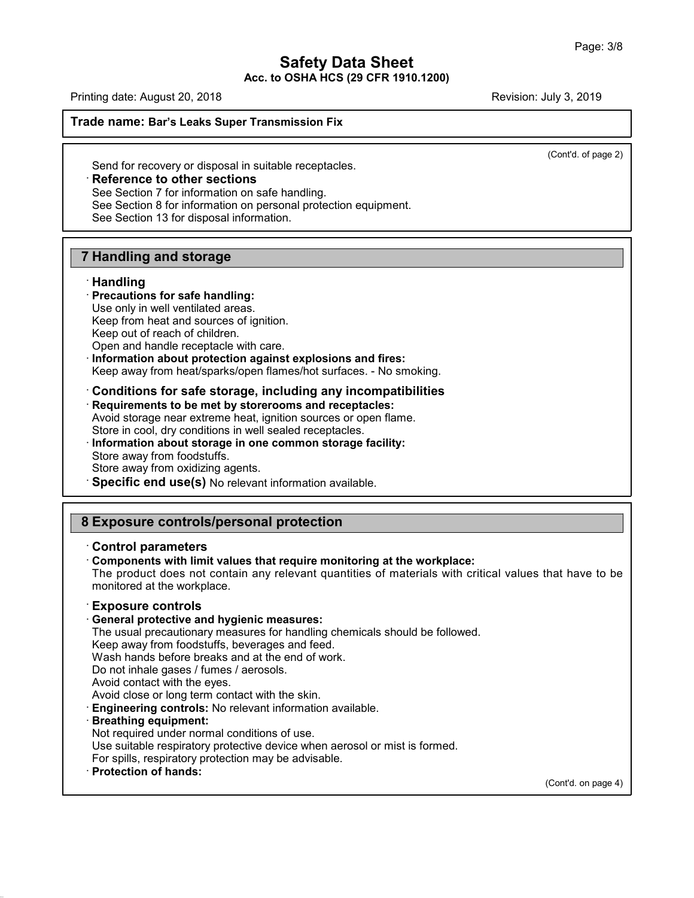$\overline{(\text{Cont } d.\text{ of page 2})}$ 

Finally date: August 20, 2010<br> **Send for recovery or disposal in suitable receptacles.**<br> **Reference to other sections**<br>
See Section 7 for information on safe handling.<br>
See Section 8 for information on personal protection Send for recovery or disposal in suitable receptacles.<br> **Reference to other sections**<br>
See Section 7 for information on safe handling.<br>
See Section 8 for information on personal protection equipment.<br>
See Section 13 for di Send for recovery or disposal in suitable recept<br> **Reference to other sections**<br>
See Section 7 for information on safe handling.<br>
See Section 8 for information on personal prote<br>
See Section 13 for disposal information.

**Reference to Other Sections**<br>
See Section 7 for information on safe half<br>
See Section 8 for information on personal<br>
See Section 13 for disposal information.<br> **7 Handling and storage<br>
Handling** 

### · **Handling**

**7 Handling and storage<br>
· Handling<br>
· Precautions for safe handling:<br>
Use only in well ventilated areas.<br>
Keep from heat and sources of ignition. Handling and storage<br>Handling<br>Precautions for safe handling:**<br>Use only in well ventilated areas.<br>Keep from heat and sources of ignition.<br>Keep out of reach of children **Handling and storage<br>Handling<br>Precautions for safe handling:**<br>Use only in well ventilated areas.<br>Keep from heat and sources of ignition.<br>Keep out of reach of children.<br>Open and handle receptacle with care.

Keep out of reach of children.<br>Open and handle receptacle with care.<br>Information about protection against explosions and fires: **Exercise Seculture Frecentions for safe handling:**<br>
Use only in well ventilated areas.<br>
Keep from heat and sources of ignition.<br>
Keep out of reach of children.<br>
Open and handle receptacle with care.<br> **Information about pr** Use only in well ventilated areas.<br>
Keep from heat and sources of ignition.<br>
Keep out of reach of children.<br>
Open and handle receptacle with care.<br> **Information about protection against explosions and fires:**<br>
Keep away fr

Open and handle receptacle with care.<br> **Condition about protection against explosions and fires:**<br>
Keep away from heat/sparks/open flames/hot surfaces. - No smok<br> **Conditions for safe storage, including any incompatibili**<br> Keep away from heat/sparks/open flames/hot surfaces. - No smoking.<br> **Conditions for safe storage, including any incompatibilities**<br> **Requirements to be met by storerooms and receptacles:**<br>
Avoid storage near extreme heat, Keep away from heat/sparks/open flames/hot surfaces. - No smoking.<br> **Conditions for safe storage, including any incompatibilities**<br> **Requirements to be met by storerooms and receptacles:**<br>
Avoid storage near extreme heat, Requirements to be met by storerooms and receptacles:<br>Avoid storage near extreme heat, ignition sources or open fla<br>Store in cool, dry conditions in well sealed receptacles.<br>Information about storage in one common storage

Requirements to be met by storerooms and receptacles:<br>Avoid storage near extreme heat, ignition sources or open flame.<br>Store in cool, dry conditions in well sealed receptacles.<br>Information about storage in one common stora mormation about storage in one common storage racinty.<br>
Store away from oxidizing agents.<br>
Specific end use(s) No relevant information available.<br> **8 Exposure controls/personal protection**<br>
Control parameters

**8 Exposure controls/personal protection<br>
Control parameters<br>
Components with limit values that require monitoring at the workplace:** 

**Exposure controls/personal protection**<br>
• **Control parameters**<br>
• **Components with limit values that require monitoring at the workplace:**<br>
The product does not contain any relevant quantities of materials with critical v **Exposure controls/personal protection**<br>Control parameters<br>Components with limit values that require monitoring at the workplace:<br>The product does not contain any relevant quantities of materials with critical values that **Exposure controls/personal<br>
Control parameters**<br>
Components with limit values tha<br>
The product does not contain any<br>
monitored at the workplace.<br> **Exposure controls**<br>
Controls<br>
Ceneral protective and hygienic r<br>
The usual • **Components with limit values that require monitor**<br>The product does not contain any relevant quantitie<br>monitored at the workplace.<br>**Exposure controls**<br>**General protective and hygienic measures:**<br>The usual precautionary The product does not contain any relevant quantities of materials with critical value<br>monitored at the workplace.<br> **Exposure controls**<br> **General protective and hygienic measures:**<br>
The usual precautionary measures for hand monitored at the workplace.<br> **Exposure controls**<br> **General protective and hygienic measures:**<br>
The usual precautionary measures for handling chemicals sho<br>
Keep away from foodstuffs, beverages and feed.<br>
Wash hands before

**Exposure controls<br>
General protective and hygienic measures:**<br>
The usual precautionary measures for handling chemicals shoule<br>
Keep away from foodstuffs, beverages and feed.<br>
Wash hands before breaks and at the end of wor Exposure controls<br>
General protective and hygienic measures:<br>
The usual precautionary measures for handling c<br>
Keep away from foodstuffs, beverages and feed.<br>
Wash hands before breaks and at the end of wor<br>
Do not inhale g **General protective and hygienic measu**<br>The usual precautionary measures for ha<br>Keep away from foodstuffs, beverages ar<br>Wash hands before breaks and at the en<br>Do not inhale gases / fumes / aerosols.<br>Avoid contact with the

The usual precautionary measures for handling chemicals should b<br>Keep away from foodstuffs, beverages and feed.<br>Wash hands before breaks and at the end of work.<br>Do not inhale gases / fumes / aerosols.<br>Avoid contact with th

Do not inhale gases / fumes / aerosols.<br>
Avoid contact with the eyes.<br>
Avoid close or long term contact with the skin.<br> **Engineering controls:** No relevant information available.<br> **Breathing equipment:**<br>
Not required under Avoid contact with the eyes.<br>Avoid close or long term contact with the skin.<br>**Engineering controls:** No relevant information available.<br>**Breathing equipment:**<br>Not required under normal conditions of use.<br>Use suitable respi Avoid close or long term contact with the skin.<br> **Engineering controls:** No relevant information available.<br> **Breathing equipment:**<br>
Not required under normal conditions of use.<br>
Use suitable respiratory protective device

47.0.13

(Cont'd. on page 4)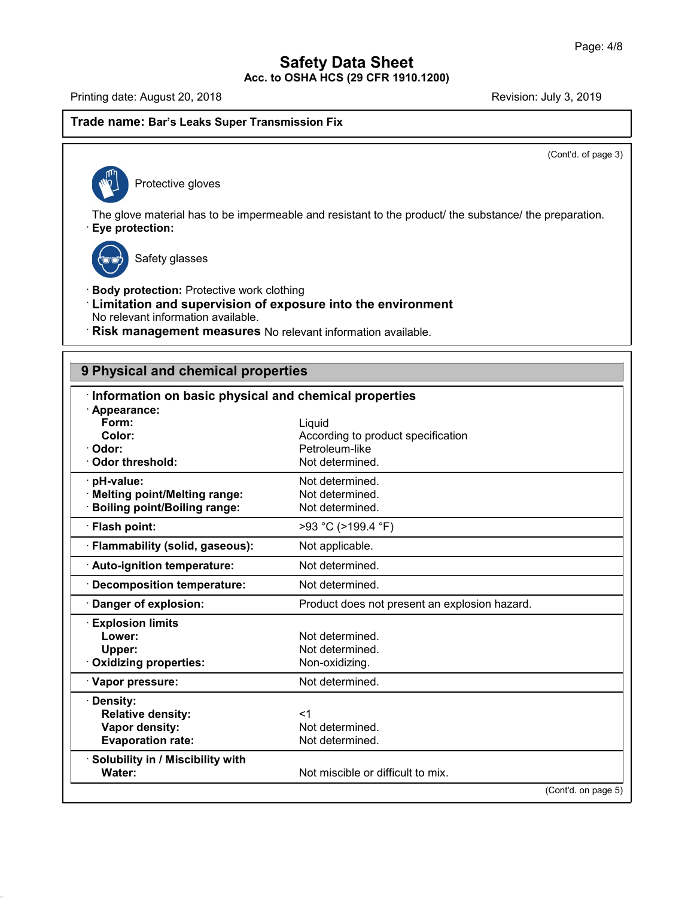# Trade name: Bar's Leaks Super Transmission Fix<br>
Number of Protective gloves

 $\overline{(\text{Cont } d.\text{ of page 3})}$ 

The glove material has to be impermeable and resistant to the product/ the substance/ the preparation.<br>
• **Eye protection:**<br>
• **Eye protection:** e material has to be imper<br>t**ection:**<br>Safety glasses



47.0.13

- **Eye protection:**<br>
Safety glasses<br> **Body protection:** Protective work clothing<br> **Limitation and supervision of exposure into t**<br>
No relevant information available **Example 3**<br> **Example 3**<br> **Example 3**<br> **Limitation and supervision of exposure into the environment<br>
No relevant information available.<br>
<b>Risk management measures** No relevant information available. No relevant information available.<br>
• **Risk management measures** No relevant information available.<br>
• **Risk management measures** No relevant information available.
- · Risk management measures No relevant information available.

| 9 Physical and chemical properties                    |                                               |  |  |  |
|-------------------------------------------------------|-----------------------------------------------|--|--|--|
| Information on basic physical and chemical properties |                                               |  |  |  |
| Appearance:                                           |                                               |  |  |  |
| Form:                                                 | Liquid                                        |  |  |  |
| Color:                                                | According to product specification            |  |  |  |
| · Odor:                                               | Petroleum-like                                |  |  |  |
| <b>Odor threshold:</b>                                | Not determined.                               |  |  |  |
| · pH-value:                                           | Not determined.                               |  |  |  |
| · Melting point/Melting range:                        | Not determined.                               |  |  |  |
| <b>Boiling point/Boiling range:</b>                   | Not determined.                               |  |  |  |
| · Flash point:                                        | >93 °C (>199.4 °F)                            |  |  |  |
| · Flammability (solid, gaseous):                      | Not applicable.                               |  |  |  |
| Auto-ignition temperature:                            | Not determined.                               |  |  |  |
| · Decomposition temperature:                          | Not determined.                               |  |  |  |
| Danger of explosion:                                  | Product does not present an explosion hazard. |  |  |  |
| <b>Explosion limits</b>                               |                                               |  |  |  |
| Lower:                                                | Not determined.                               |  |  |  |
| Upper:                                                | Not determined.                               |  |  |  |
| <b>Oxidizing properties:</b>                          | Non-oxidizing.                                |  |  |  |
| · Vapor pressure:                                     | Not determined.                               |  |  |  |
| · Density:                                            |                                               |  |  |  |
| <b>Relative density:</b>                              | $<$ 1                                         |  |  |  |
| Vapor density:                                        | Not determined.                               |  |  |  |
| <b>Evaporation rate:</b>                              | Not determined.                               |  |  |  |
| · Solubility in / Miscibility with                    |                                               |  |  |  |
| Water:                                                | Not miscible or difficult to mix.             |  |  |  |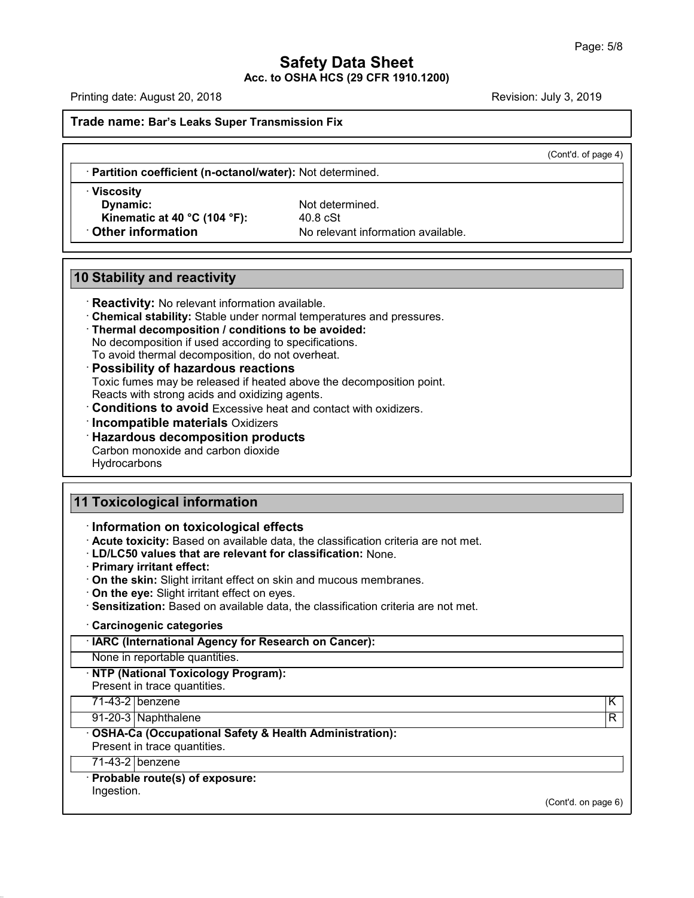$\overline{(\text{Cont } d. \text{ of page 4})}$ 

**Axericanside name: Bar's Leaks Super Transmission Fix**<br>• **Partition coefficient (n-octanol/water):** Not determined.<br>• **Viscosity** 

**Example 12 and Second Second Second Second Second Second Second Second Second Second Second Second Second Second<br>
<b>Dynamic:**<br>
Not determined.<br>
Not determined.<br> **Propertion**<br>
No relevant information **10 Dynamic:**<br>
10 Stability and reactivity<br>
10 Stability and reactivity<br>
10 Stability and reactivity<br>
10 Reactivity: No relevant information aver

**Kinematic at 40 °C (104 °F):**<br> **Kinematic at 40 °C (104 °F):**<br> **Kinematic at 40 °C (104 °F):**<br> **Kinematic at 40 °C (104 °F):**<br> **Kinemation** Available.<br>
No relevant information available.<br>
No relevant information available

**• Reactivity:**<br> **• Reactivity:** No relevant information available.<br>
• **Chemical stability:** Stable under normal temperatures and pressures.<br>
• **Thermal decomposition / conditions to be avoided:**<br>
• No decomposition if use **10 Stability and reactivity**<br> **Reactivity:** No relevant information available.<br> **Chemical stability:** Stable under normal temperatures and pressures.<br>
Thermal decomposition / conditions to be avoided:<br>
No decomposition if

- 
- **Thermal stability:** Stable under normal temperatures and **Thermal decomposition / conditions to be avoided:**<br>No decomposition if used according to specifications.<br>To avoid thermal decomposition, do not overheat.<br>**Possibil** Chemical stability: Stable under normal temperatures and pressures.<br>Thermal decomposition / conditions to be avoided:<br>No decomposition if used according to specifications.<br>To avoid thermal decomposition, do not overheat.<br>P Thermal decomposition / conditions to be avoided:<br>
No decomposition if used according to specifications.<br>
To avoid thermal decomposition, do not overheat.<br> **Possibility of hazardous reactions**<br>
Toxic fumes may be released • **Possibility of hazardous reactions**<br>
Toxic fumes may be released if heated above the decomposition sto avoid Excessive heat and contact v<br> **Conditions to avoid** Excessive heat and contact v<br> **Conditions to avoid** Excess

- 
- **11 Toxicological information**<br> **11 Toxicological information**<br> **11 Toxicological information**<br> **11 Toxicological information** 
	-

**Hydrocarbons** 

- 
- **11 Toxicological information<br>
Information on toxicological effects<br>
Acute toxicity:** Based on available data, the classification criteria are not met.<br>
LD/LC50 values that are relevant for classification: None. **Example 1 Toxicological information**<br> **Acute toxicity:** Based on available data, the classification criteria are not met.<br> **· LD/LC50 values that are relevant for classification:** None.<br>
• **Primary irritant effect:**<br>
• Information on toxicological effects<br>
Acute toxicity: Based on available data, the classification criteria are not met.<br>
LD/LC50 values that are relevant for classification: None.<br>
Primary irritant effect:<br>
On the skin: Sl
	-
	-
	-
	-
	- On the skin: Slight irritant effect on skin and mucous membranes.<br>• On the eye: Slight irritant effect on eyes.<br>• Sensitization: Based on available data, the classification criteria a<br>• Carcinogenic categories<br>• IARC (In
	-

**On the eye:** Slight irritant effect on eyes.<br> **Carcinogenic categories**<br> **Example 18.1 Carcinogenic categories**<br> **NARC (International Agency for Research on None in reportable quantities.**<br> **NTP (National Toxicology Prog** • Carcinogenic categories<br>
• IARC (International Agency for Research on Cancer):<br>
• None in reportable quantities.<br>
• NTP (National Toxicology Program):<br>
• Present in trace quantities.<br>
• 71-43-2 benzene<br>
91-20-3 Naphthale IARC (International Agency for Research on Cancer):<br>
None in reportable quantities.<br>
NTP (National Toxicology Program):<br>
Present in trace quantities.<br>
71-43-2 benzene K<br>
91-20-3 Naphthalene R

### None in reportable quantities.<br>
NTP (National Toxicology Program):<br>
Present in trace quantities.<br>
71-43-2 Denzene Kanada Controller Range Range Range Range Range Range Range Range Range Range Range Range Ra<br>
0SHA-Ca (Occup **· NTP (National Toxicology Program):**<br>
Present in trace quantities.<br>
71-43-2 benzene<br>
91-20-3 Naphthalene<br> **· OSHA-Ca (Occupational Safety & Health Administration):**<br>
Present in trace quantities.<br>
71-43-2 benzene Present in trace quantities.<br>
71-43-2 benzene<br>
91-20-3 Naphthalene<br> **OSHA-Ca (Occupational Safety &**<br>
Present in trace quantities.<br>
71-43-2 benzene 71-43-2 benzene<br>91-20-3 Naphthalene<br>**OSHA-Ca (Occupational S**<br>Present in trace quantities.<br>71-43-2 benzene<br>**Probable route(s) of expos** 91-20-3 Naphthalene<br> **COSHA-Ca (Occupational Safety & Heal**<br>
Present in trace quantities.<br> **Probable route(s) of exposure:**<br>
Ingestion.

Ingestion.

47.0.13

(Cont'd. on page 6)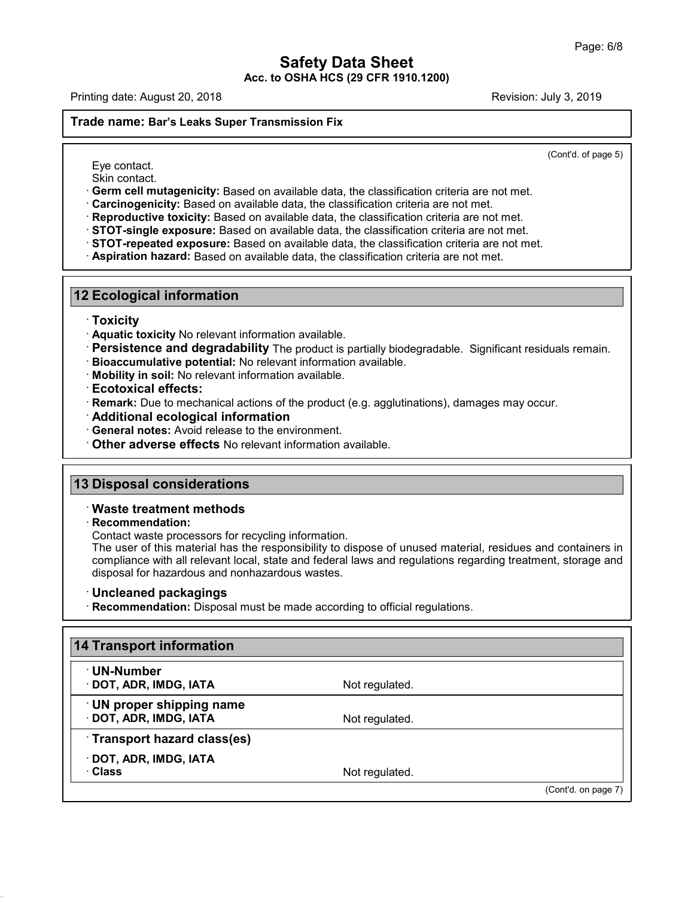$\overline{(\text{Cont } d.\text{ of page 5})}$ 

- 
- Printing date: August 20, 2018<br> **Trade name: Bar's Leaks Super Transmission Fix**<br>
Eye contact.<br>
Skin contact.<br>
Corm cell mutagenicity: Based on available data, the classification criteria are not met.
	-
	-
	-
- **Example: Bar's Leaks Super Transmission Fix** (Contd. of page<br>
Eye contact.<br>
Skin contact.<br>
Control. of page<br>
Control. of page<br>
Control. Control. Control. Control. Control. Control. Control. Control. Control. Control. Cont **12 Ecological information**<br> **12 Ecological information**<br> **12 Ecological information**<br> **12 Ecological information**<br> **12 Ecological information**<br> **12 Ecological information**<br> **13 Ecological information**<br> **13 Ecological info** 
	-

### · **Toxicity**

- 
- 2<br> **Ecological information**<br> **Ecological information**<br> **Existity**<br> **Existence and degradability** The product is partially biodegradable. Significant residuals remain.<br> **Ecotoxical effects:**<br> **Existence and degradability** T • **Persistence and degradability** The product is partially biodegradable. Significant residuals remain.<br>• **Bioaccumulative potential:** No relevant information available.<br>• **Kobility in soil:** No relevant information availa
- 
- 
- 
- · **Remark:** Due to mechanical actions of the product (e.g. agglutinations), damages may occur.
- 
- **13 Disposal considerations**<br> **13 Disposal considerations**<br> **13 Disposal considerations**<br> **13 Disposal considerations**<br> **13 Disposal considerations** 
	- Other adverse effects No relevant information<br> **B Disposal considerations<br>
	 Waste treatment methods<br>
	 Recommendation:<br>
	 Contact waste processors for recycling in**

47.0.13

· **Recommendation:**

**13 Disposal considerations**<br>
Contact waste treatment methods<br>
Contact waste processors for recycling information.<br>
The user of this material has the responsibility to dispose of unused material, residues and containers in **Disposal considerations<br>Waste treatment methods<br>Recommendation:**<br>Contact waste processors for recycling information.<br>The user of this material has the responsibility to dispose of unused material, residues and containers Waste treatment methods<br>Recommendation:<br>Contact waste processors for recycling information.<br>The user of this material has the responsibility to dispose of unused material, residues and containers in<br>compliance with all rel **Example 18 • Recommendation:**<br>
Contact waste processors for recycling information.<br>
The user of this material has the responsibility to dispose of unused material, residently compliance with all relevant local, state and

| Not regulated. |                                                                          |
|----------------|--------------------------------------------------------------------------|
| Not regulated. |                                                                          |
|                |                                                                          |
| Not regulated. |                                                                          |
|                | Recommendation: Disposal must be made according to official regulations. |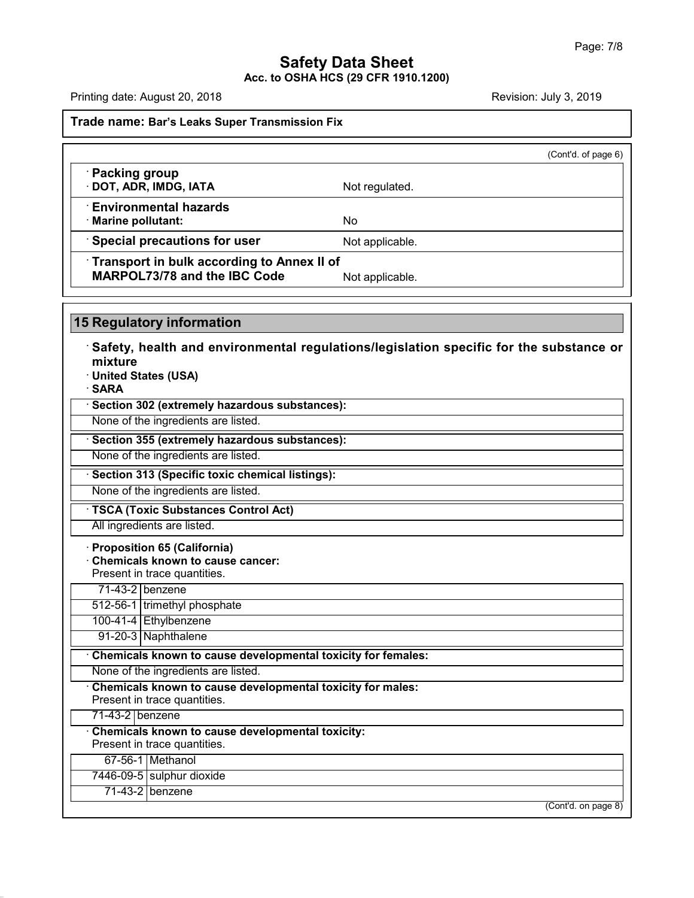Printing date: August 20, 2018<br>**Trade name: Bar's Leaks Super Transmission Fix** 

|                                                                            | (Cont'd. of page 6) |  |
|----------------------------------------------------------------------------|---------------------|--|
| · Packing group<br>· DOT, ADR, IMDG, IATA                                  | Not regulated.      |  |
| $\cdot$ Environmental hazards<br>· Marine pollutant:                       | No.                 |  |
| Special precautions for user                                               | Not applicable.     |  |
| Transport in bulk according to Annex II of<br>MARPOL73/78 and the IBC Code | Not applicable.     |  |

**Example 3776** and the IBC Code<br>
Similar Regulatory information<br>
Safety, health and environmental regulations/legislation specific for the substance or<br>
Thited States (USA) **mixture**<br>· United States (USA) **Example 15 Regulatory information<br>
Safety, health and environm<br>
mixture<br>
United States (USA)<br>
SARA<br>
Section 202 (extremely becarde** • **Safety, health and environmental regulations/**<br>• United States (USA)<br>• **SARA**<br>• Section 302 (extremely hazardous substances):<br>None of the ingredients are listed. Mixture<br>
None of the ingredients are listed.<br> **None of the ingredients are listed.**<br> **None of the ingredients are listed.**<br>
None of the ingredients are listed.<br>
None of the ingredients are listed.

· **SARA**

None of the ingredients are listed.<br>
None of the ingredients are listed.<br> **• Section 355 (extremely hazardous substances):**<br>
None of the ingredients are listed.<br>
• **Section 313 (Specific toxic chemical listings):**<br>
None of

**Example 1 are ingredients are listed.**<br> **None of the ingredients are listed.**<br> **• Section 313 (Specific toxic chemical listings):**<br>
None of the ingredients are listed.<br>
• **TSCA (Toxic Substances Control Act)**<br>
All ingredi

None of the ingredients are listed.<br> **Section 313 (Specific toxic chemical listings):**<br>
None of the ingredients are listed.<br> **TSCA (Toxic Substances Control Act)**<br>
All ingredients are listed.<br> **Proposition 65 (California) TSCA (Toxic Substances Control Act)**<br>
All ingredients are listed.<br> **Proposition 65 (California)**<br> **Chemicals known to cause cancer:**<br>
Present in trace quantities.<br>
T1-43-2 benzene. TSCA (Toxic Substances Control<br>All ingredients are listed.<br>Proposition 65 (California)<br>Chemicals known to cause cance<br>Present in trace quantities.<br>71-43-2 benzene Il ingredients are listed.<br> **roposition 65 (California)**<br> **hemicals known to cause**<br> **resent in trace quantities.<br>
71-43-2 benzene<br>
12-56-1 trimethyl phosphate** Proposition 65 (California)<br>Chemicals known to cause cancer:<br>Present in trace quantities.<br>71-43-2 benzene<br>512-56-1 trimethyl phosphate<br>100-41-4 Ethylbenzene Chemicals known to cause can<br>Present in trace quantities.<br>
71-43-2 benzene<br>
512-56-1 trimethyl phosphate<br>
100-41-4 Ethylbenzene<br>
91-20-3 Naphthalene

Fresent in trace quantities.<br>
12-56-1 trimethyl phosphate<br>
12-56-1 trimethyl phosphate<br>
00-41-4 Ethylbenzene<br>
91-20-3 Naphthalene<br>
hemicals known to cause de <sup>11-45-2</sup> **Chemicals known to cause developmental toxicity for females:**<br> **Chemicals known to cause developmental toxicity for females:**<br>
None of the ingredients are listed. 912-56-1 Inmethyl phosphate<br>
100-41-4 Ethylbenzene<br>
91-20-3 Naphthalene<br> **Chemicals known to cause developmental toxicity for females:**<br>
None of the ingredients are listed.<br> **Chemicals known to cause developmental toxicity** 

91-20-3 | Naphthalene<br>
Chemicals known to cause devel<br>
None of the ingredients are listed.<br>
Chemicals known to cause devel<br>
Present in trace quantities.<br>
71-43-2 | benzene **Chemicals known to caus**<br>None of the ingredients are<br>**Chemicals known to caus**<br>Present in trace quantities.<br>71-43-2 benzene<br>**Chemicals known to caus** 

None of the ingredients are listed.<br> **· Chemicals known to cause developmental toxicity for males:**<br>
Present in trace quantities.<br>
71-43-2 **benzene**<br> **· Chemicals known to cause developmental toxicity:**<br>
Present in trace **Chemicals known to cause devel**<br>Present in trace quantities.<br>71-43-2 benzene<br>**Chemicals known to cause devel**<br>Present in trace quantities.<br>67-56-1 Methanol esent in trace quantities.<br>-43-2 | benzene<br>**nemicals known to cause dividends**<br>for-56-1 | Methanol<br>46-09-5 | sulphur dioxide 71-43-2 benzene<br>Chemicals known to cause developi<br>Present in trace quantities.<br>67-56-1 Methanol<br>7446-09-5 sulphur dioxide<br>71-43-2 benzene nemicals known to cause desent in trace quantities.<br>197-56-1 Methanol<br>197-56-1 sulphur dioxide<br>197-43-2 benzene

47.0.13

(Cont'd. on page 8)